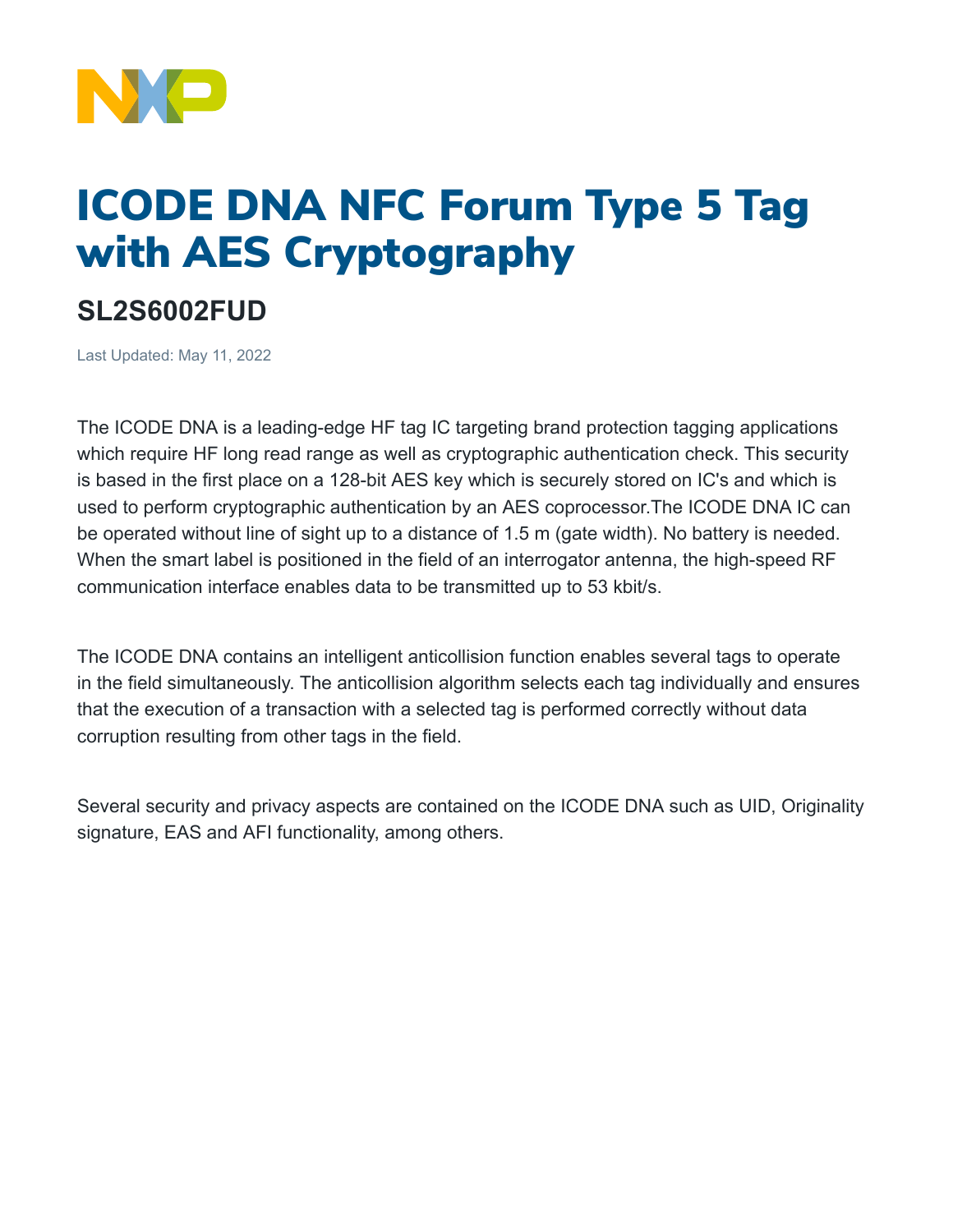

## ICODE DNA NFC Forum Type 5 Tag with AES Cryptography

## **SL2S6002FUD**

Last Updated: May 11, 2022

The ICODE DNA is a leading-edge HF tag IC targeting brand protection tagging applications which require HF long read range as well as cryptographic authentication check. This security is based in the first place on a 128-bit AES key which is securely stored on IC's and which is used to perform cryptographic authentication by an AES coprocessor.The ICODE DNA IC can be operated without line of sight up to a distance of 1.5 m (gate width). No battery is needed. When the smart label is positioned in the field of an interrogator antenna, the high-speed RF communication interface enables data to be transmitted up to 53 kbit/s.

The ICODE DNA contains an intelligent anticollision function enables several tags to operate in the field simultaneously. The anticollision algorithm selects each tag individually and ensures that the execution of a transaction with a selected tag is performed correctly without data corruption resulting from other tags in the field.

Several security and privacy aspects are contained on the ICODE DNA such as UID, Originality signature, EAS and AFI functionality, among others.